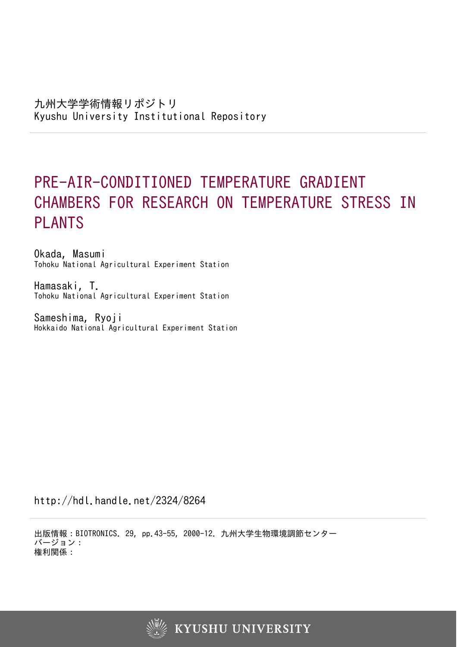# PRE-AIR-CONDITIONED TEMPERATURE GRADIENT CHAMBERS FOR RESEARCH ON TEMPERATURE STRESS IN PLANTS

Okada, Masumi Tohoku National Agricultural Experiment Station

Hamasaki, T. Tohoku National Agricultural Experiment Station

Sameshima, Ryoji Hokkaido National Agricultural Experiment Station

http://hdl.handle.net/2324/8264

出版情報:BIOTRONICS. 29, pp.43-55, 2000-12. 九州大学生物環境調節センター バージョン: 権利関係:

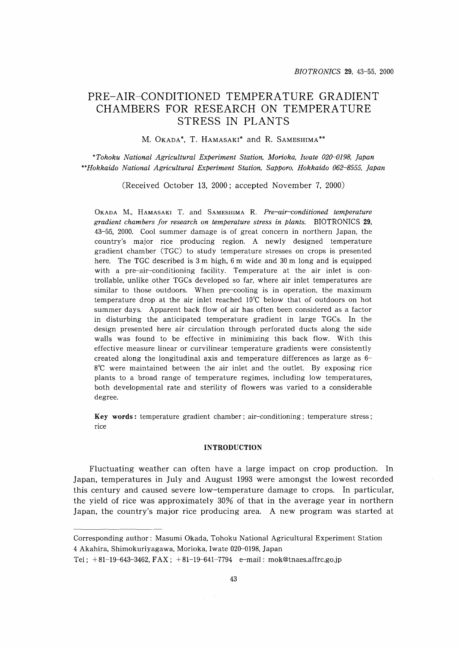## PRE-AIR-CONDITIONED TEMPERATURE GRADIENT CHAMBERS FOR RESEARCH ON TEMPERATURE STRESS IN PLANTS

M. OKADA\*, T. HAMASAKI\* and R. SAMESHIMA\*\*

*\*Tohoku National Agricultural Experiment Station, Morioka, Iwate 020-{)198, Japan \*\*Hokkaido National Agricultural Experiment Station, Sapporo, Hokkaido 062-8555, Japan*

(Received October 13, 2000; accepted November 7, 2000)

OKADA M., HAMASAKI T. and SAMESHIMA R. *Pre-air-conditioned temperature gradient chambers for research on temperature stress in plants.* BIOTRONICS 29, 43-55, 2000. Cool summer damage is of great concern in northern Japan, the country's major rice producing region. A newly designed temperature gradient chamber (TGC) to study temperature stresses on crops is presented here. The TGC described is 3 m high, 6 m wide and 30 m long and is equipped with a pre-air-conditioning facility. Temperature at the air inlet is controllable, unlike other TGCs developed so far, where air inlet temperatures are similar to those outdoors. When pre-cooling is in operation, the maximum temperature drop at the air inlet reached  $10^{\circ}$ C below that of outdoors on hot summer days. Apparent back flow of air has often been considered as a factor in disturbing the anticipated temperature gradient in large TGCs. In the design presented here air circulation through perforated ducts along the side walls was found to be effective in minimizing this back flow. With this effective measure linear or curvilinear temperature gradients were consistently created along the longitudinal axis and temperature differences as large as  $6-$ 8°C were maintained between the air inlet and the outlet. By exposing rice plants to a broad range of temperature regimes, including low temperatures, both developmental rate and sterility of flowers was varied to a considerable degree.

Key words: temperature gradient chamber; air-conditioning; temperature stress; rice

## INTRODUCTION

Fluctuating weather can often have a large impact on crop production. In Japan, temperatures in July and August 1993 were amongst the lowest recorded this century and caused severe low-temperature damage to crops. In particular, the yield of rice was approximately 30% of that in the average year in northern Japan, the country's major rice producing area. A new program was started at

Corresponding author: Masumi Okada, Tohoku National Agricultural Experiment Station 4 Akahira, Shimokuriyagawa, Morioka, Iwate 020-0198, Japan

Tel;  $+81-19-643-3462$ ,  $FAX$ ;  $+81-19-641-7794$  e-mail: mok@tnaes.affrc.go.jp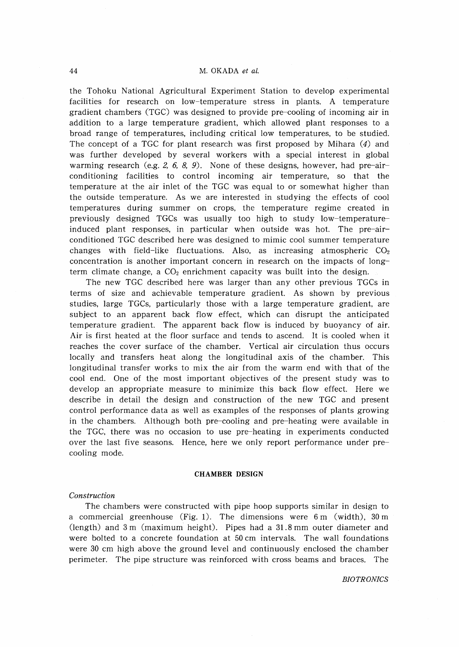## 44 M. OKADA *et al.*

the Tohoku National Agricultural Experiment Station to develop experimental facilities for research on low-temperature stress in plants. A temperature gradient chambers (TGC) was designed to provide pre-cooling of incoming air in addition to a large temperature gradient, which allowed plant responses to a broad range of temperatures, including critical low temperatures, to be studied. The concept of a TGC for plant research was first proposed by Mihara (4) and was further developed by several workers with a special interest in global warming research (e.g. 2, 6, 8, 9). None of these designs, however, had pre-airconditioning facilities to control incoming air temperature, so that the temperature at the air inlet of the TGC was equal to or somewhat higher than the outside temperature. As we are interested in studying the effects of cool temperatures during summer on crops, the temperature regime created in previously designed TGCs was usually too high to study low-temperatureinduced plant responses, in particular when outside was hot. The pre-airconditioned TGC described here was designed to mimic cool summer temperature changes with field-like fluctuations. Also, as increasing atmospheric  $CO<sub>2</sub>$ concentration is another important concern in research on the impacts of longterm climate change, a  $CO<sub>2</sub>$  enrichment capacity was built into the design.

The new TGC described here was larger than any other previous TGCs in terms of size and achievable temperature gradient. As shown by previous studies, large TGCs, particularly those with a large temperature gradient, are subject to an apparent back flow effect, which can disrupt the anticipated temperature gradient. The apparent back flow is induced by buoyancy of air. Air is first heated at the floor surface and tends to ascend. It is cooled when it reaches the cover surface of the chamber. Vertical air circulation thus occurs locally and transfers heat along the longitudinal axis of the chamber. This longitudinal transfer works to mix the air from the warm end with that of the cool end. One of the most important objectives of the present study was to develop an appropriate measure to minimize this back flow effect. Here we describe in detail the design and construction of the new TGC and present control performance data as well as examples of the responses of plants growing in the chambers. Although both pre-cooling and pre-heating were available in the TGC, there was no occasion to use pre-heating in experiments conducted over the last five seasons. Hence, here we only report performance under precooling mode.

#### **CHAMBER DESIGN**

#### *Construction*

The chambers were constructed with pipe hoop supports similar in design to a commercial greenhouse (Fig. 1). The dimensions were  $6 \text{ m}$  (width),  $30 \text{ m}$ (length) and 3 m (maximum height). Pipes had a 31.8 mm outer diameter and were bolted to a concrete foundation at 50 cm intervals. The wall foundations were 30 cm high above the ground level and continuously enclosed the chamber perimeter. The pipe structure was reinforced with cross beams and braces. The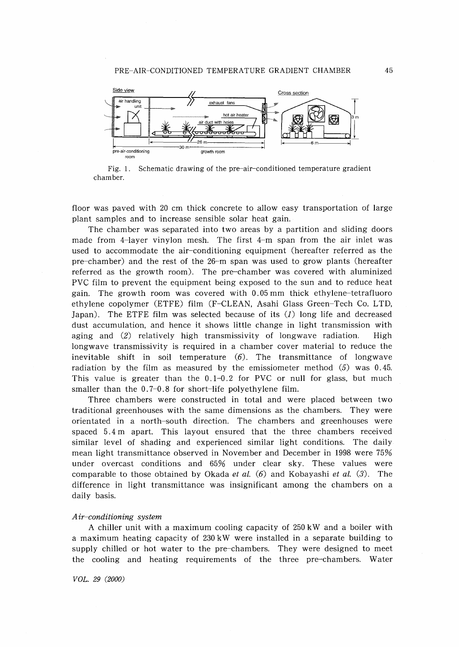

Fig. 1. Schematic drawing of the pre-air-conditioned temperature gradient chamber.

floor was paved with 20 cm thick concrete to allow easy transportation of large plant samples and to increase sensible solar heat gain.

The chamber was separated into two areas by a partition and sliding doors made from 4-layer vinylon mesh. The first 4-m span from the air inlet was used to accommodate the air-conditioning equipment (hereafter referred as the pre-chamber) and the rest of the 26-m span was used to grow plants (hereafter referred as the growth room). The pre-chamber was covered with aluminized PVC film to prevent the equipment being exposed to the sun and to reduce heat gain. The growth room was covered with 0.05 mm thick ethylene-tetrafluoro ethylene copolymer (ETFE) film (F-CLEAN, Asahi Glass Green-Tech Co. LTD, Japan). The ETFE film was selected because of its (1) long life and decreased dust accumulation, and hence it shows little change in light transmission with aging and (2) relatively high transmissivity of longwave radiation. High longwave transmissivity is required in a chamber cover material to reduce the inevitable shift in soil temperature  $(6)$ . The transmittance of longwave radiation by the film as measured by the emissiometer method  $(5)$  was 0.45. This value is greater than the 0.1-0.2 for PVC or null for glass, but much smaller than the 0.7-0.8 for short-life polyethylene film.

Three chambers were constructed in total and were placed between two traditional greenhouses with the same dimensions as the chambers. They were orientated in a north-south direction. The chambers and greenhouses were spaced 5.4 m apart. This layout ensured that the three chambers received similar level of shading and experienced similar light conditions. The daily mean light transmittance observed in November and December in 1998 were 75% under overcast conditions and 65% under clear sky. These values were comparable to those obtained by Okada *et al.* (6) and Kobayashi *et al.* (3). The difference in light transmittance was insignificant among the chambers on a daily basis.

#### *A ir-conditioning system*

A chiller unit with a maximum cooling capacity of 250 kW and a boiler with a maximum heating capacity of 230 kW were installed in a separate building to supply chilled or hot water to the pre-chambers. They were designed to meet the cooling and heating requirements of the three pre-chambers. Water

*VDL.* 29 *(2000)*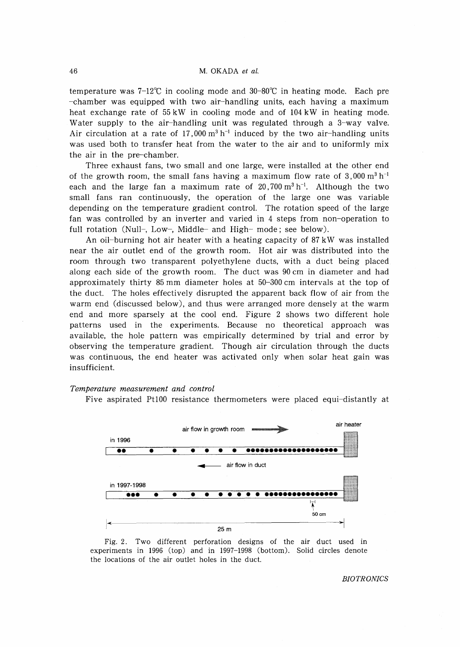## 46 M. OKADA *et al.*

temperature was  $7-12^{\circ}$  in cooling mode and  $30-80^{\circ}$  in heating mode. Each pre -chamber was equipped with two air-handling units, each having a maximum heat exchange rate of 55 kW in cooling mode and of 104 kW in heating mode. Water supply to the air-handling unit was regulated through a 3-way valve. Air circulation at a rate of 17,000  $m^3 h^{-1}$  induced by the two air-handling units was used both to transfer heat from the water to the air and to uniformly mix the air in the pre-chamber.

Three exhaust fans, two small and one large, were installed at the other end of the growth room, the small fans having a maximum flow rate of  $3,000 \text{ m}^3 \text{ h}^{-1}$ each and the large fan a maximum rate of 20,700 $\,\mathrm{m}^{3}\,\mathrm{h}^{-1}.$  Although the two small fans ran continuously, the operation of the large one was variable depending on the temperature gradient control. The rotation speed of the large fan was controlled by an inverter and varied in 4 steps from non~operation to full rotation (Null-, Low-, Middle- and High- mode; see below).

An oil-burning hot air heater with a heating capacity of 87 kW was installed near the air outlet end of the growth room. Hot air was distributed into the room through two transparent polyethylene ducts, with a duct being placed along each side of the growth room. The duct was 90 cm in diameter and had approximately thirty 85 mm diameter holes at 50-300 cm intervals at the top of the duct. The holes effectively disrupted the apparent back flow of air from the warm end (discussed below), and thus were arranged more densely at the warm end and more sparsely at the cool end. Figure 2 shows two different hole patterns used in the experiments. Because no theoretical approach was available, the hole pattern was empirically determined by trial and error by observing the temperature gradient. Though air circulation through the ducts was continuous, the end heater was activated only when solar heat gain was insufficient.

#### *Temperature measurement and control*

Five aspirated Pt100 resistance thermometers were placed equi-distantly at



Fig. 2. Two different perforation designs of the air duct used in experiments in 1996 (top) and in 1997-1998 (bottom). Solid circles denote the locations of the air outlet holes in the duct.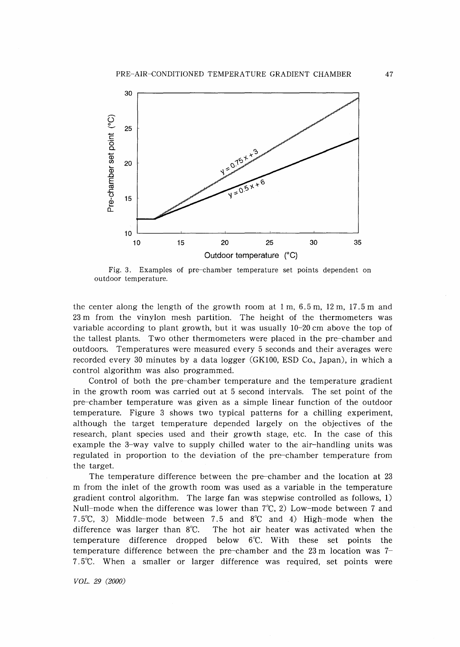

Fig. 3. Examples of pre-chamber temperature set points dependent on outdoor temperature.

the center along the length of the growth room at 1 m, 6.5 m, 12 m, 17.5 m and 23 m from the vinylon mesh partition. The height of the thermometers was variable according to plant growth, but it was usually 10-20 cm above the top of the tallest plants. Two other thermometers were placed in the pre-chamber and outdoors. Temperatures were measured every 5 seconds and their averages were recorded every 30 minutes by a data logger (GK100, ESD Co., Japan), in which a control algorithm was also programmed.

Control of both the pre-chamber temperature and the temperature gradient in the growth room was carried out at 5 second intervals. The set point of the pre-chamber temperature was given as a simple linear function of the outdoor temperature. Figure 3 shows two typical patterns for a chilling experiment, although the target temperature depended largely on the objectives of the research, plant species used and their growth stage, etc. In the case of this example the 3-way valve to supply chilled water to the air-handling units was regulated in proportion to the deviation of the pre-chamber temperature from the target.

The temperature difference between the pre-chamber and the location at 23 m from the inlet of the growth room was used as a variable in the temperature gradient control algorithm. The large fan was stepwise controlled as follows, 1) Null-mode when the difference was lower than  $7^{\circ}C$ , 2) Low-mode between 7 and 7.5°C, 3) Middle-mode between 7.5 and 8°C and 4) High-mode when the difference was larger than 8°C. The hot air heater was activated when the temperature difference dropped below 6°C. With these set points the temperature difference between the pre-chamber and the 23 m location was 7- 7.5°C. When a smaller or larger difference was required, set points were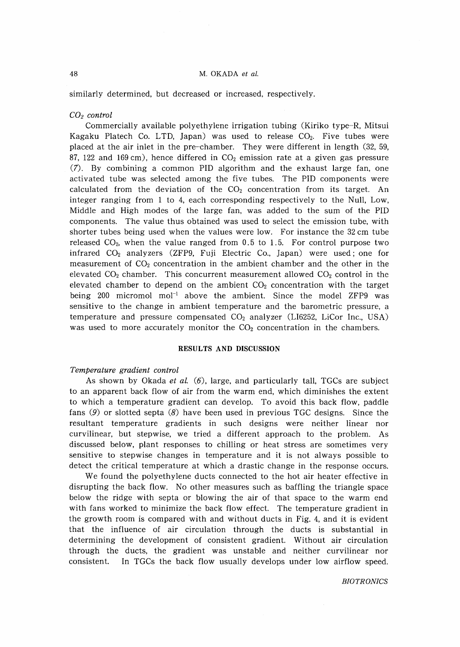## 48 M. OKADA *et al.*

similarly determined, but decreased or increased, respectively.

## *CO2 control*

Commercially available polyethylene irrigation tubing (Kiriko type-R, Mitsui Kagaku Platech Co. LTD, Japan) was used to release  $CO<sub>2</sub>$ . Five tubes were placed at the air inlet in the pre-chamber. They were different in length (32, 59, 87, 122 and 169 cm), hence differed in  $CO<sub>2</sub>$  emission rate at a given gas pressure (7). By combining a common PID algorithm and the exhaust large fan, one activated tube was selected among the five tubes. The PID components were calculated from the deviation of the  $CO<sub>2</sub>$  concentration from its target. An integer ranging from 1 to 4, each corresponding respectively to the Null, Low, Middle and High modes of the large fan, was added to the sum of the PID components. The value thus obtained was used to select the emission tube, with shorter tubes being used when the values were low. For instance the 32 cm tube released  $CO<sub>2</sub>$ , when the value ranged from 0.5 to 1.5. For control purpose two infrared C02 analyzers (ZFP9, Fuji Electric Co., Japan) were used; one for measurement of  $CO<sub>2</sub>$  concentration in the ambient chamber and the other in the elevated  $CO<sub>2</sub>$  chamber. This concurrent measurement allowed  $CO<sub>2</sub>$  control in the elevated chamber to depend on the ambient  $CO<sub>2</sub>$  concentration with the target being 200 micromol mol<sup>-1</sup> above the ambient. Since the model ZFP9 was sensitive to the change in ambient temperature and the barometric pressure, a temperature and pressure compensated  $CO<sub>2</sub>$  analyzer (LI6252, LiCor Inc., USA) was used to more accurately monitor the  $CO<sub>2</sub>$  concentration in the chambers.

## **RESULTS** AND **DISCUSSION**

### *Temperature gradient control*

As shown by Okada *et al.* (6), large, and particularly tall, TGCs are subject to an apparent back flow of air from the warm end, which diminishes the extent to which a temperature gradient can develop. To avoid this back flow, paddle fans  $(9)$  or slotted septa  $(8)$  have been used in previous TGC designs. Since the resultant temperature gradients in such designs were neither linear nor curvilinear, but stepwise, we tried a different approach to the problem. As discussed below, plant responses to chilling or heat stress are sometimes very sensitive to stepwise changes in temperature and it is not always possible to detect the critical temperature at which a drastic change in the response occurs.

We found the polyethylene ducts connected to the hot air heater effective in disrupting the back flow. No other measures such as baffling the triangle space below the ridge with septa or blowing the air of that space to the warm end with fans worked to minimize the back flow effect. The temperature gradient in the growth room is compared with and without ducts in Fig. 4, and it is evident that the influence of air circulation through the ducts is substantial in determining the development of consistent gradient. Without air circulation through the ducts, the gradient was unstable and neither curvilinear nor consistent. In TGCs the back flow usually develops under low airflow speed.

*BIOTRONICS*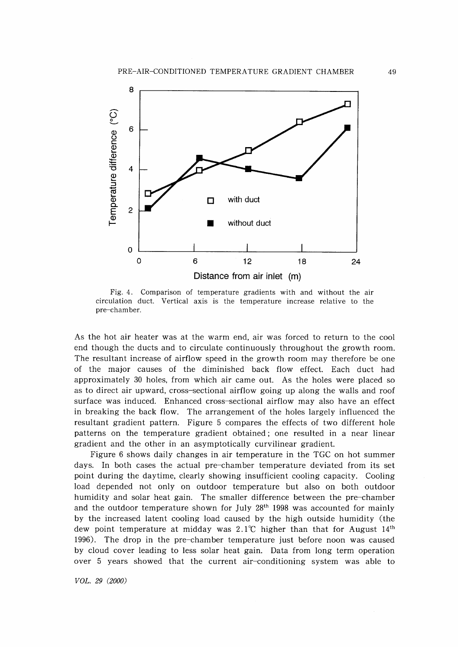

Fig. 4. Comparison of temperature gradients with and without the air circulation duct. Vertical axis is the temperature increase relative to the pre-chamber.

As the hot air heater was at the warm end, air was forced to return to the cool end though the ducts and to circulate continuously throughout the growth room. The resultant increase of airflow speed in the growth room may therefore be one of the major causes of the diminished back flow effect. Each duct had approximately 30 holes, from which air came out. As the holes were placed so as to direct air upward, cross-sectional airflow going up along the walls and roof surface was induced. Enhanced cross-sectional airflow may also have an effect in breaking the back flow. The arrangement of the holes largely influenced the resultant gradient pattern. Figure 5 compares the effects of two different hole patterns on the temperature gradient obtained; one resulted in a near linear gradient and the other in an asymptotically curvilinear gradient.

Figure 6 shows daily changes in air temperature in the TGC on hot summer days. In both cases the actual pre-chamber temperature deviated from its set point during the daytime, clearly showing insufficient cooling capacity. Cooling load depended not only on outdoor temperature but also on both outdoor humidity and solar heat gain. The smaller difference between the pre-chamber and the outdoor temperature shown for July 28<sup>th</sup> 1998 was accounted for mainly by the increased latent cooling load caused by the high outside humidity (the dew point temperature at midday was  $2.1^{\circ}$ C higher than that for August  $14^{\text{th}}$ 1996). The drop in the pre-chamber temperature just before noon was caused by cloud cover leading to less solar heat gain. Data from long term operation over 5 years showed that the current air-conditioning system was able to

*VOL.* 29 *(2000)*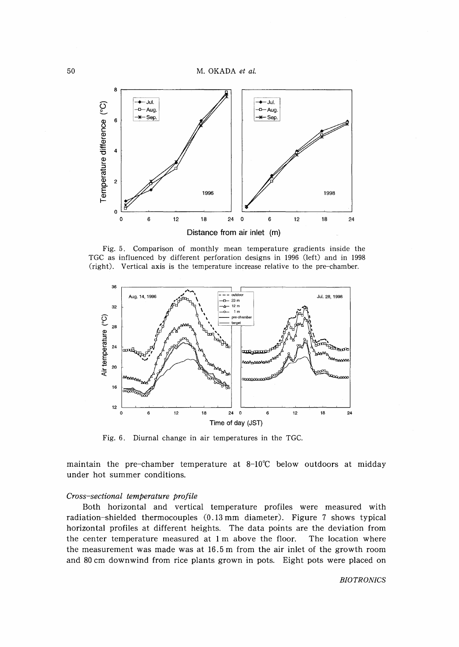50 M. OKADA *et at.*



Fig. 5. Comparison of monthly mean temperature gradients inside the TGC as influenced by different perforation designs in 1996 (left) and in 1998 (right). Vertical axis is the temperature increase relative to the pre-chamber.



Fig. 6. Diurnal change in air temperatures in the TGC.

maintain the pre–chamber temperature at 8–10℃ below outdoors at midday under hot summer conditions.

## *Cross-sectional temperature profile*

Both horizontal and vertical temperature profiles were measured with radiation-shielded thermocouples (0.13 mm diameter). Figure 7 shows typical horizontal profiles at different heights. The data points are the deviation from the center temperature measured at 1 m above the floor. The location where the measurement was made was at 16.5 m from the air inlet of the growth room and 80 cm downwind from rice plants grown in pots. Eight pots were placed on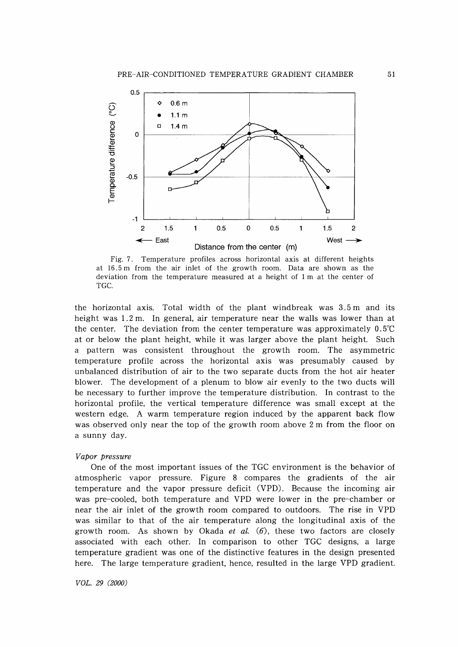

Fig. 7. Temperature profiles across horizontal axis at different heights at 16.5 m from the air inlet of the growth room. Data are shown as the deviation from the temperature measured at a height of 1 m at the center of TGC.

the horizontal axis. Total width of the plant windbreak was 3.5 m and its height was 1.2 m. In general, air temperature near the walls was lower than at the center. The deviation from the center temperature was approximately O. 5°C at or below the plant height, while it was larger above the plant height. Such a pattern was consistent throughout the growth room. The asymmetric temperature profile across the horizontal axis was presumably caused by unbalanced distribution of air to the two separate ducts from the hot air heater blower. The development of a plenum to blow air evenly to the two ducts will be necessary to further improve the temperature distribution. In contrast to the horizontal profile, the vertical temperature difference was small except at the western edge. A warm temperature region induced by the apparent back flow was observed only near the top of the growth room above 2 m from the floor on a sunny day.

## *Vapor pressure*

One of the most important issues of the TGC environment is the behavior of atmospheric vapor pressure. Figure 8 compares the gradients of the air temperature and the vapor pressure deficit (VPD). Because the incoming air was pre-cooled, both temperature and VPD were lower in the pre-chamber or near the air inlet of the growth room compared to outdoors. The rise in VPD was similar to that of the air temperature along the longitudinal axis of the growth room. As shown by Okada *et al.* (6), these two factors are closely associated with each other. In comparison to other TGC designs, a large temperature gradient was one of the distinctive features in the design presented here. The large temperature gradient, hence, resulted in the large VPD gradient.

*VOL.* 29 *(2000)*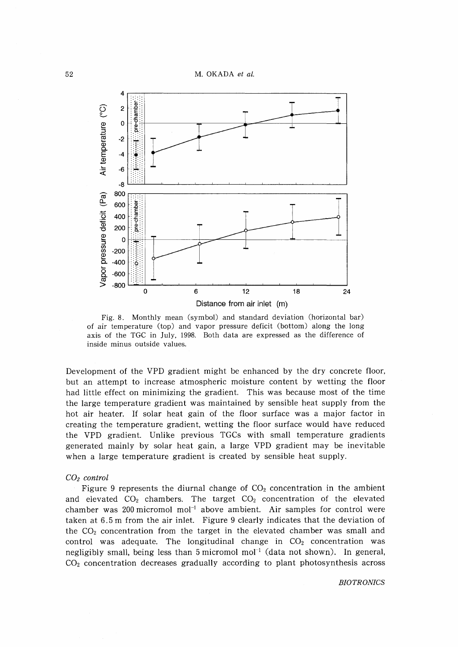M. OKADA *et al.*



Fig. 8. Monthly mean (symbol) and standard deviation (horizontal bar) of air temperature (top) and vapor pressure deficit (bottom) along the long axis of the TGC in July, 1998. Both data are expressed as the difference of inside minus outside values.

Development of the VPD gradient might be enhanced by the dry concrete floor, but an attempt to increase atmospheric moisture content by wetting the floor had little effect on minimizing the gradient. This was because most of the time the large temperature gradient was maintained by sensible heat supply from the hot air heater. If solar heat gain of the floor surface was a major factor in creating the temperature gradient, wetting the floor surface would have reduced the VPD gradient. Unlike previous TGCs with small temperature gradients generated mainly by solar heat gain, a large VPD gradient may be inevitable when a large temperature gradient is created by sensible heat supply.

## C02 *control*

Figure 9 represents the diurnal change of  $CO<sub>2</sub>$  concentration in the ambient and elevated  $CO<sub>2</sub>$  chambers. The target  $CO<sub>2</sub>$  concentration of the elevated chamber was 200 micromol mol<sup>-1</sup> above ambient. Air samples for control were taken at 6.5 m from the air inlet. Figure 9 clearly indicates that the deviation of the  $CO<sub>2</sub>$  concentration from the target in the elevated chamber was small and control was adequate. The longitudinal change in  $CO<sub>2</sub>$  concentration was negligibly small, being less than  $5$  micromol mol<sup>-1</sup> (data not shown). In general,  $CO<sub>2</sub>$  concentration decreases gradually according to plant photosynthesis across

*BIOTRONICS*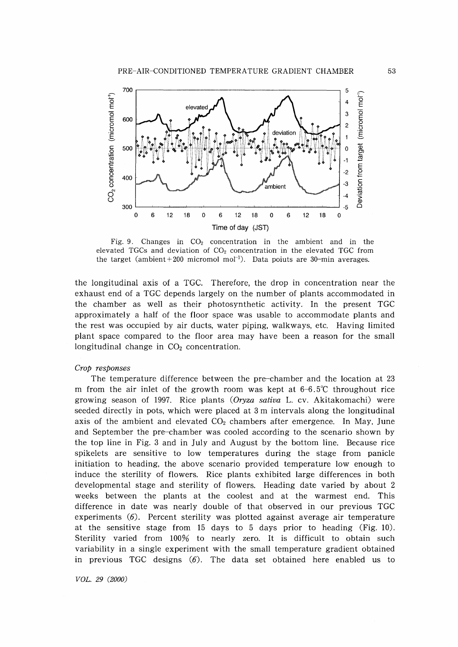

Fig. 9. Changes in  $CO<sub>2</sub>$  concentration in the ambient and in the elevated TGCs and deviation of  $CO<sub>2</sub>$  concentration in the elevated TGC from the target (ambient + 200 micromol mol<sup>-1</sup>). Data poiuts are 30-min averages.

the longitudinal axis of a TGC. Therefore, the drop in concentration near the exhaust end of a TGC depends largely on the number of plants accommodated in the chamber as well as their photosynthetic activity. In the present TGC approximately a half of the floor space was usable to accommodate plants and the rest was occupied by air ducts, water piping, walkways, etc. Having limited plant space compared to the floor area may have been a reason for the small longitudinal change in  $CO<sub>2</sub>$  concentration.

## *Crop responses*

The temperature difference between the pre-chamber and the location at 23 m from the air inlet of the growth room was kept at  $6-6.5^{\circ}$  throughout rice growing season of 1997. Rice plants *(Oryza sativa* L. cv. Akitakomachi) were seeded directly in pots, which were placed at 3 m intervals along the longitudinal axis of the ambient and elevated  $CO<sub>2</sub>$  chambers after emergence. In May, June and September the pre-chamber was cooled according to the scenario shown by the top line in Fig. 3 and in July and August by the bottom line. Because rice spikelets are sensitive to low temperatures during the stage from panicle initiation to heading, the above scenario provided temperature low enough to induce the sterility of flowers. Rice plants exhibited large differences in both developmental stage and sterility of flowers. Heading date varied by about 2 weeks between the plants at the coolest and at the warmest end. This difference in date was nearly double of that observed in our previous TGC experiments (6). Percent sterility was plotted against average air temperature at the sensitive stage from 15 days to 5 days prior to heading (Fig. 10). Sterility varied from 100% to nearly zero. It is difficult to obtain such variability in a single experiment with the small temperature gradient obtained in previous TGC designs  $(6)$ . The data set obtained here enabled us to

*VGL.* 29 *(2000)*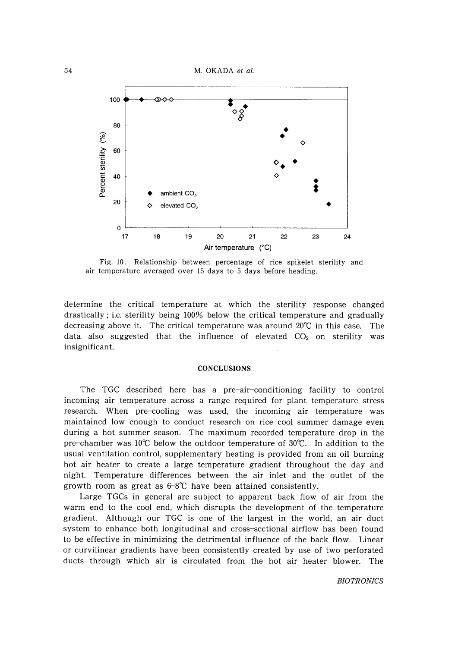54 M. OKADA *et al.*



Fig. 10. Relationship between percentage of rice spikelet sterility and air temperature averaged over 15 days to 5 days before heading.

determine the critical temperature at which the sterility response changed drastically; Le. sterility being 100% below the critical temperature and gradually decreasing above it. The critical temperature was around  $20^{\circ}\text{C}$  in this case. The data also suggested that the influence of elevated  $CO<sub>2</sub>$  on sterility was insignificant.

### **CONCLUSIONS**

The TGC described here has a pre-air-conditioning facility to control incoming air temperature across a range required for plant temperature stress research. When pre-cooling was used, the incoming air temperature was maintained low enough to conduct research on rice cool summer damage even during a hot summer season. The maximum recorded temperature drop in the pre-chamber was  $10^{\circ}$ C below the outdoor temperature of  $30^{\circ}$ C. In addition to the usual ventilation control, supplementary heating is provided from an oil-burning hot air heater to create a large temperature gradient throughout the day and night. Temperature differences between the air inlet and the outlet of the growth room as great as  $6-8^{\circ}C$  have been attained consistently.

Large TGCs in general are subject to apparent back flow of air from the warm end to the cool end, which disrupts the development of the temperature gradient. Although our TGC is one of the largest in the world, an air duct system to enhance both longitudinal and cross-sectional airflow has been found to be effective in minimizing the detrimental influence of the back flow. Linear or curvilinear gradients have been consistently created by use of two perforated ducts through which air is circulated from the hot air heater blower. The